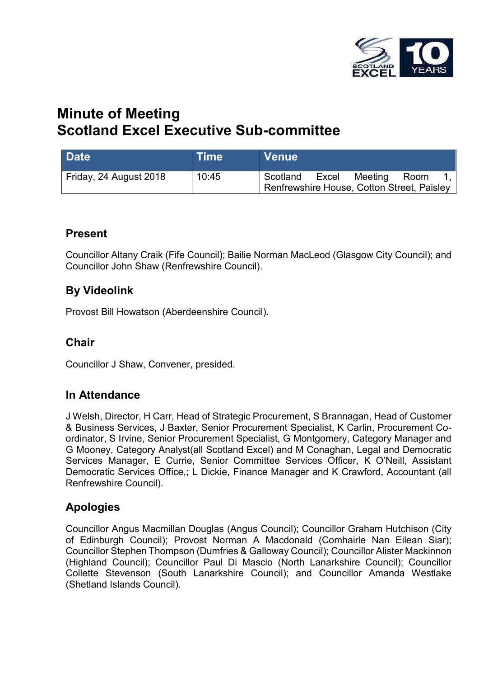

# **Minute of Meeting Scotland Excel Executive Sub-committee**

| <b>Date</b>            | $\mathsf{I}\mathsf{T}\mathsf{im}\mathsf{e}^\mathsf{T}$ | <b>Venue</b>                                           |       |         |      |  |
|------------------------|--------------------------------------------------------|--------------------------------------------------------|-------|---------|------|--|
| Friday, 24 August 2018 | 10:45                                                  | Scotland<br>Renfrewshire House, Cotton Street, Paisley | Excel | Meeting | Room |  |

### **Present**

Councillor Altany Craik (Fife Council); Bailie Norman MacLeod (Glasgow City Council); and Councillor John Shaw (Renfrewshire Council).

### **By Videolink**

Provost Bill Howatson (Aberdeenshire Council).

### **Chair**

Councillor J Shaw, Convener, presided.

### **In Attendance**

J Welsh, Director, H Carr, Head of Strategic Procurement, S Brannagan, Head of Customer & Business Services, J Baxter, Senior Procurement Specialist, K Carlin, Procurement Coordinator, S Irvine, Senior Procurement Specialist, G Montgomery, Category Manager and G Mooney, Category Analyst(all Scotland Excel) and M Conaghan, Legal and Democratic Services Manager, E Currie, Senior Committee Services Officer, K O'Neill, Assistant Democratic Services Office,; L Dickie, Finance Manager and K Crawford, Accountant (all Renfrewshire Council).

### **Apologies**

Councillor Angus Macmillan Douglas (Angus Council); Councillor Graham Hutchison (City of Edinburgh Council); Provost Norman A Macdonald (Comhairle Nan Eilean Siar); Councillor Stephen Thompson (Dumfries & Galloway Council); Councillor Alister Mackinnon (Highland Council); Councillor Paul Di Mascio (North Lanarkshire Council); Councillor Collette Stevenson (South Lanarkshire Council); and Councillor Amanda Westlake (Shetland Islands Council).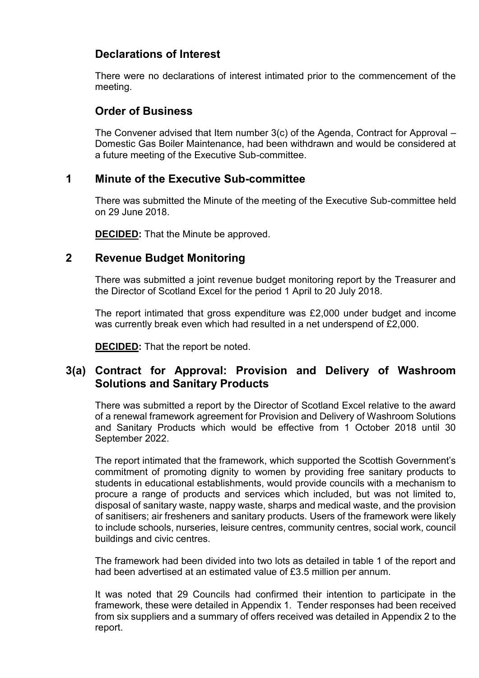### **Declarations of Interest**

There were no declarations of interest intimated prior to the commencement of the meeting.

### **Order of Business**

The Convener advised that Item number 3(c) of the Agenda, Contract for Approval – Domestic Gas Boiler Maintenance, had been withdrawn and would be considered at a future meeting of the Executive Sub-committee.

#### **1 Minute of the Executive Sub-committee**

There was submitted the Minute of the meeting of the Executive Sub-committee held on 29 June 2018.

**DECIDED:** That the Minute be approved.

### **2 Revenue Budget Monitoring**

There was submitted a joint revenue budget monitoring report by the Treasurer and the Director of Scotland Excel for the period 1 April to 20 July 2018.

The report intimated that gross expenditure was £2,000 under budget and income was currently break even which had resulted in a net underspend of £2,000.

**DECIDED:** That the report be noted.

## **3(a) Contract for Approval: Provision and Delivery of Washroom Solutions and Sanitary Products**

There was submitted a report by the Director of Scotland Excel relative to the award of a renewal framework agreement for Provision and Delivery of Washroom Solutions and Sanitary Products which would be effective from 1 October 2018 until 30 September 2022.

The report intimated that the framework, which supported the Scottish Government's commitment of promoting dignity to women by providing free sanitary products to students in educational establishments, would provide councils with a mechanism to procure a range of products and services which included, but was not limited to, disposal of sanitary waste, nappy waste, sharps and medical waste, and the provision of sanitisers; air fresheners and sanitary products. Users of the framework were likely to include schools, nurseries, leisure centres, community centres, social work, council buildings and civic centres.

The framework had been divided into two lots as detailed in table 1 of the report and had been advertised at an estimated value of £3.5 million per annum.

It was noted that 29 Councils had confirmed their intention to participate in the framework, these were detailed in Appendix 1. Tender responses had been received from six suppliers and a summary of offers received was detailed in Appendix 2 to the report.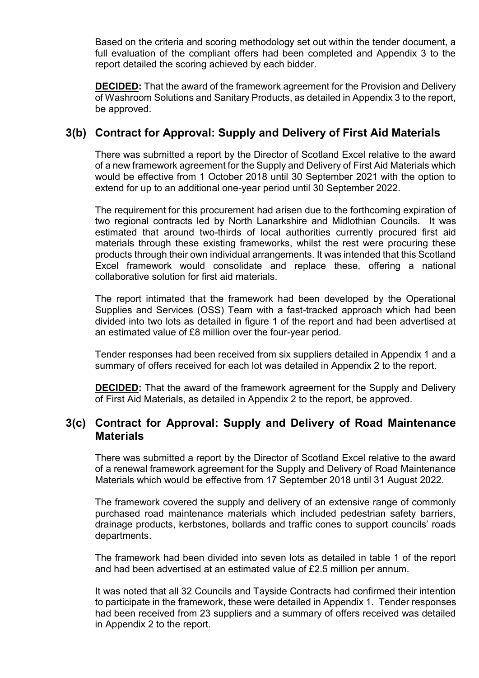Based on the criteria and scoring methodology set out within the tender document, a full evaluation of the compliant offers had been completed and Appendix 3 to the report detailed the scoring achieved by each bidder.

**DECIDED:** That the award of the framework agreement for the Provision and Delivery of Washroom Solutions and Sanitary Products, as detailed in Appendix 3 to the report, be approved.

### **3(b) Contract for Approval: Supply and Delivery of First Aid Materials**

There was submitted a report by the Director of Scotland Excel relative to the award of a new framework agreement for the Supply and Delivery of First Aid Materials which would be effective from 1 October 2018 until 30 September 2021 with the option to extend for up to an additional one-year period until 30 September 2022.

The requirement for this procurement had arisen due to the forthcoming expiration of two regional contracts led by North Lanarkshire and Midlothian Councils. It was estimated that around two-thirds of local authorities currently procured first aid materials through these existing frameworks, whilst the rest were procuring these products through their own individual arrangements. It was intended that this Scotland Excel framework would consolidate and replace these, offering a national collaborative solution for first aid materials.

The report intimated that the framework had been developed by the Operational Supplies and Services (OSS) Team with a fast-tracked approach which had been divided into two lots as detailed in figure 1 of the report and had been advertised at an estimated value of £8 million over the four-year period.

Tender responses had been received from six suppliers detailed in Appendix 1 and a summary of offers received for each lot was detailed in Appendix 2 to the report.

**DECIDED:** That the award of the framework agreement for the Supply and Delivery of First Aid Materials, as detailed in Appendix 2 to the report, be approved.

### **3(c) Contract for Approval: Supply and Delivery of Road Maintenance Materials**

There was submitted a report by the Director of Scotland Excel relative to the award of a renewal framework agreement for the Supply and Delivery of Road Maintenance Materials which would be effective from 17 September 2018 until 31 August 2022.

The framework covered the supply and delivery of an extensive range of commonly purchased road maintenance materials which included pedestrian safety barriers, drainage products, kerbstones, bollards and traffic cones to support councils' roads departments.

The framework had been divided into seven lots as detailed in table 1 of the report and had been advertised at an estimated value of £2.5 million per annum.

It was noted that all 32 Councils and Tayside Contracts had confirmed their intention to participate in the framework, these were detailed in Appendix 1. Tender responses had been received from 23 suppliers and a summary of offers received was detailed in Appendix 2 to the report.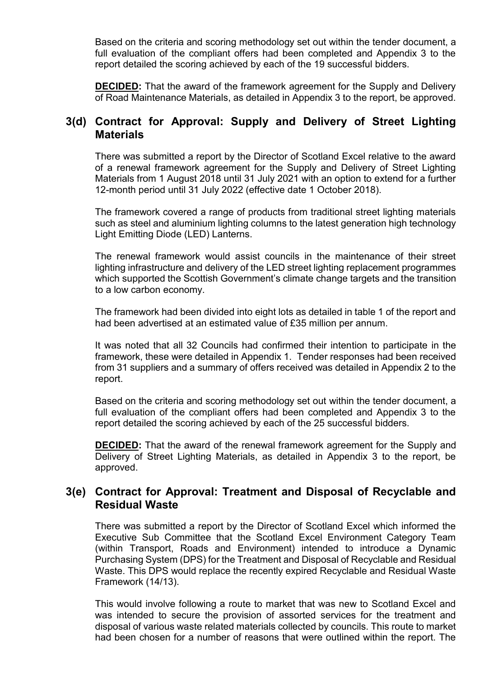Based on the criteria and scoring methodology set out within the tender document, a full evaluation of the compliant offers had been completed and Appendix 3 to the report detailed the scoring achieved by each of the 19 successful bidders.

**DECIDED:** That the award of the framework agreement for the Supply and Delivery of Road Maintenance Materials, as detailed in Appendix 3 to the report, be approved.

### **3(d) Contract for Approval: Supply and Delivery of Street Lighting Materials**

There was submitted a report by the Director of Scotland Excel relative to the award of a renewal framework agreement for the Supply and Delivery of Street Lighting Materials from 1 August 2018 until 31 July 2021 with an option to extend for a further 12-month period until 31 July 2022 (effective date 1 October 2018).

The framework covered a range of products from traditional street lighting materials such as steel and aluminium lighting columns to the latest generation high technology Light Emitting Diode (LED) Lanterns.

The renewal framework would assist councils in the maintenance of their street lighting infrastructure and delivery of the LED street lighting replacement programmes which supported the Scottish Government's climate change targets and the transition to a low carbon economy.

The framework had been divided into eight lots as detailed in table 1 of the report and had been advertised at an estimated value of £35 million per annum.

It was noted that all 32 Councils had confirmed their intention to participate in the framework, these were detailed in Appendix 1. Tender responses had been received from 31 suppliers and a summary of offers received was detailed in Appendix 2 to the report.

Based on the criteria and scoring methodology set out within the tender document, a full evaluation of the compliant offers had been completed and Appendix 3 to the report detailed the scoring achieved by each of the 25 successful bidders.

**DECIDED:** That the award of the renewal framework agreement for the Supply and Delivery of Street Lighting Materials, as detailed in Appendix 3 to the report, be approved.

#### **3(e) Contract for Approval: Treatment and Disposal of Recyclable and Residual Waste**

There was submitted a report by the Director of Scotland Excel which informed the Executive Sub Committee that the Scotland Excel Environment Category Team (within Transport, Roads and Environment) intended to introduce a Dynamic Purchasing System (DPS) for the Treatment and Disposal of Recyclable and Residual Waste. This DPS would replace the recently expired Recyclable and Residual Waste Framework (14/13).

This would involve following a route to market that was new to Scotland Excel and was intended to secure the provision of assorted services for the treatment and disposal of various waste related materials collected by councils. This route to market had been chosen for a number of reasons that were outlined within the report. The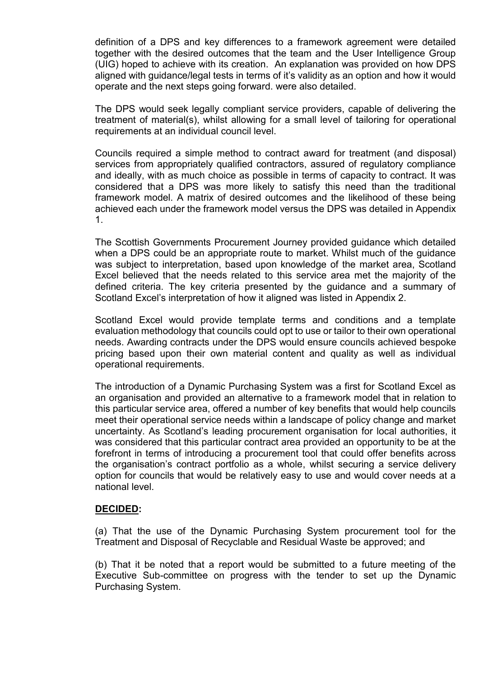definition of a DPS and key differences to a framework agreement were detailed together with the desired outcomes that the team and the User Intelligence Group (UIG) hoped to achieve with its creation. An explanation was provided on how DPS aligned with guidance/legal tests in terms of it's validity as an option and how it would operate and the next steps going forward. were also detailed.

The DPS would seek legally compliant service providers, capable of delivering the treatment of material(s), whilst allowing for a small level of tailoring for operational requirements at an individual council level.

Councils required a simple method to contract award for treatment (and disposal) services from appropriately qualified contractors, assured of regulatory compliance and ideally, with as much choice as possible in terms of capacity to contract. It was considered that a DPS was more likely to satisfy this need than the traditional framework model. A matrix of desired outcomes and the likelihood of these being achieved each under the framework model versus the DPS was detailed in Appendix 1.

The Scottish Governments Procurement Journey provided guidance which detailed when a DPS could be an appropriate route to market. Whilst much of the guidance was subject to interpretation, based upon knowledge of the market area, Scotland Excel believed that the needs related to this service area met the majority of the defined criteria. The key criteria presented by the guidance and a summary of Scotland Excel's interpretation of how it aligned was listed in Appendix 2.

Scotland Excel would provide template terms and conditions and a template evaluation methodology that councils could opt to use or tailor to their own operational needs. Awarding contracts under the DPS would ensure councils achieved bespoke pricing based upon their own material content and quality as well as individual operational requirements.

The introduction of a Dynamic Purchasing System was a first for Scotland Excel as an organisation and provided an alternative to a framework model that in relation to this particular service area, offered a number of key benefits that would help councils meet their operational service needs within a landscape of policy change and market uncertainty. As Scotland's leading procurement organisation for local authorities, it was considered that this particular contract area provided an opportunity to be at the forefront in terms of introducing a procurement tool that could offer benefits across the organisation's contract portfolio as a whole, whilst securing a service delivery option for councils that would be relatively easy to use and would cover needs at a national level.

#### **DECIDED:**

(a) That the use of the Dynamic Purchasing System procurement tool for the Treatment and Disposal of Recyclable and Residual Waste be approved; and

(b) That it be noted that a report would be submitted to a future meeting of the Executive Sub-committee on progress with the tender to set up the Dynamic Purchasing System.